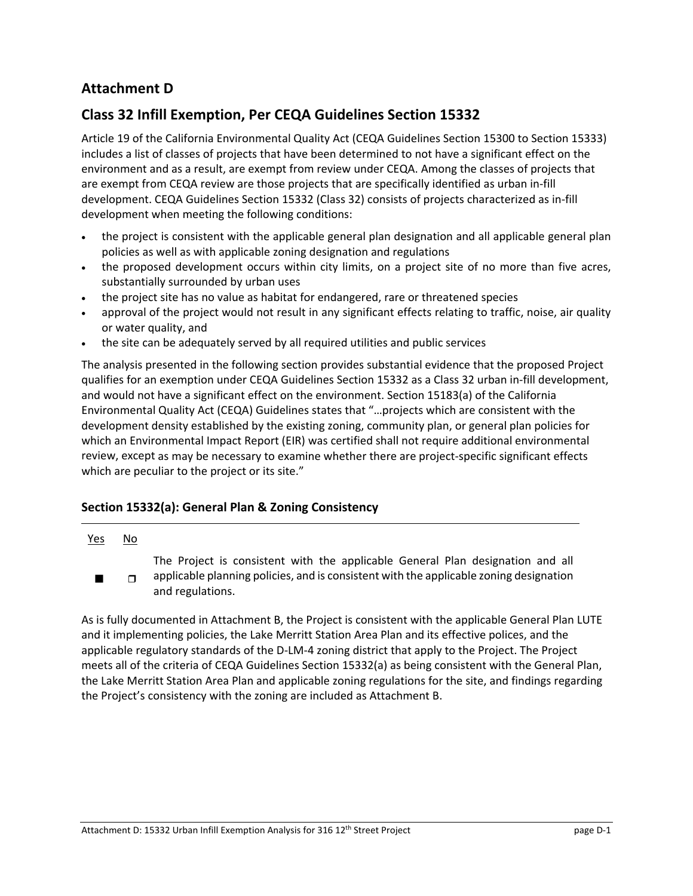# **Attachment D**

# **Class 32 Infill Exemption, Per CEQA Guidelines Section 15332**

Article 19 of the California Environmental Quality Act (CEQA Guidelines Section 15300 to Section 15333) includes a list of classes of projects that have been determined to not have a significant effect on the environment and as a result, are exempt from review under CEQA. Among the classes of projects that are exempt from CEQA review are those projects that are specifically identified as urban in‐fill development. CEQA Guidelines Section 15332 (Class 32) consists of projects characterized as in‐fill development when meeting the following conditions:

- the project is consistent with the applicable general plan designation and all applicable general plan policies as well as with applicable zoning designation and regulations
- the proposed development occurs within city limits, on a project site of no more than five acres, substantially surrounded by urban uses
- the project site has no value as habitat for endangered, rare or threatened species
- approval of the project would not result in any significant effects relating to traffic, noise, air quality or water quality, and
- the site can be adequately served by all required utilities and public services

The analysis presented in the following section provides substantial evidence that the proposed Project qualifies for an exemption under CEQA Guidelines Section 15332 as a Class 32 urban in‐fill development, and would not have a significant effect on the environment. Section 15183(a) of the California Environmental Quality Act (CEQA) Guidelines states that "…projects which are consistent with the development density established by the existing zoning, community plan, or general plan policies for which an Environmental Impact Report (EIR) was certified shall not require additional environmental review, except as may be necessary to examine whether there are project‐specific significant effects which are peculiar to the project or its site."

## **Section 15332(a): General Plan & Zoning Consistency**

### Yes No

- The Project is consistent with the applicable General Plan designation and all
- applicable planning policies, and is consistent with the applicable zoning designation and regulations.  $\Box$

As is fully documented in Attachment B, the Project is consistent with the applicable General Plan LUTE and it implementing policies, the Lake Merritt Station Area Plan and its effective polices, and the applicable regulatory standards of the D‐LM‐4 zoning district that apply to the Project. The Project meets all of the criteria of CEQA Guidelines Section 15332(a) as being consistent with the General Plan, the Lake Merritt Station Area Plan and applicable zoning regulations for the site, and findings regarding the Project's consistency with the zoning are included as Attachment B.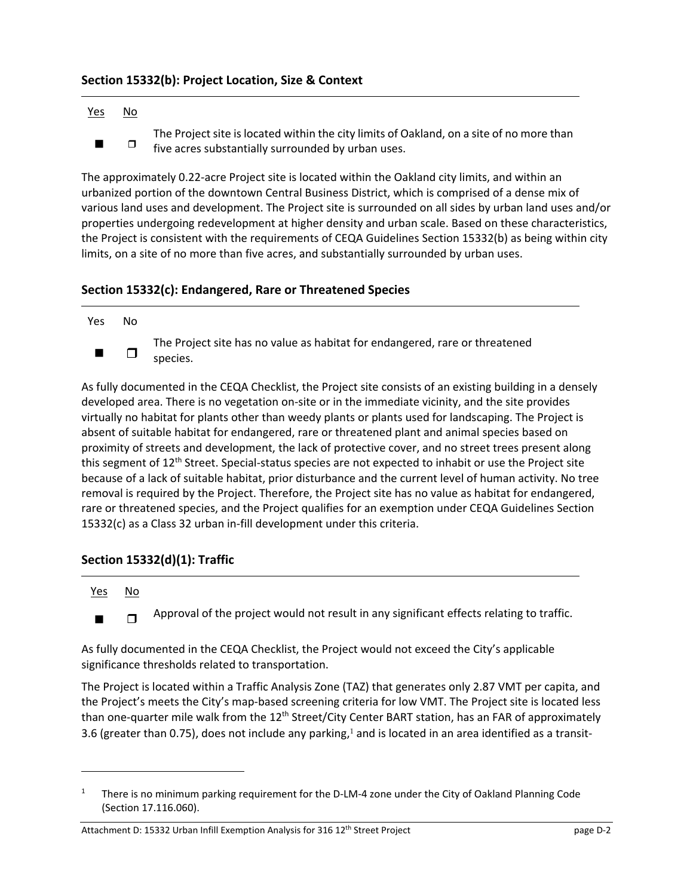## **Section 15332(b): Project Location, Size & Context**

### Yes No

The Project site is located within the city limits of Oakland, on a site of no more than  $\blacksquare$   $\blacksquare$  five acres substantially surrounded by urban uses.

The approximately 0.22‐acre Project site is located within the Oakland city limits, and within an urbanized portion of the downtown Central Business District, which is comprised of a dense mix of various land uses and development. The Project site is surrounded on all sides by urban land uses and/or properties undergoing redevelopment at higher density and urban scale. Based on these characteristics, the Project is consistent with the requirements of CEQA Guidelines Section 15332(b) as being within city limits, on a site of no more than five acres, and substantially surrounded by urban uses.

## **Section 15332(c): Endangered, Rare or Threatened Species**

Yes No

The Project site has no value as habitat for endangered, rare or threatened  $\Box$  species.

As fully documented in the CEQA Checklist, the Project site consists of an existing building in a densely developed area. There is no vegetation on‐site or in the immediate vicinity, and the site provides virtually no habitat for plants other than weedy plants or plants used for landscaping. The Project is absent of suitable habitat for endangered, rare or threatened plant and animal species based on proximity of streets and development, the lack of protective cover, and no street trees present along this segment of 12<sup>th</sup> Street. Special-status species are not expected to inhabit or use the Project site because of a lack of suitable habitat, prior disturbance and the current level of human activity. No tree removal is required by the Project. Therefore, the Project site has no value as habitat for endangered, rare or threatened species, and the Project qualifies for an exemption under CEQA Guidelines Section 15332(c) as a Class 32 urban in‐fill development under this criteria.

## **Section 15332(d)(1): Traffic**

### Yes No

**Approval of the project would not result in any significant effects relating to traffic.** 

As fully documented in the CEQA Checklist, the Project would not exceed the City's applicable significance thresholds related to transportation.

The Project is located within a Traffic Analysis Zone (TAZ) that generates only 2.87 VMT per capita, and the Project's meets the City's map‐based screening criteria for low VMT. The Project site is located less than one-quarter mile walk from the 12<sup>th</sup> Street/City Center BART station, has an FAR of approximately 3.6 (greater than 0.75), does not include any parking,<sup>1</sup> and is located in an area identified as a transit-

<sup>1</sup> There is no minimum parking requirement for the D‐LM‐4 zone under the City of Oakland Planning Code (Section 17.116.060).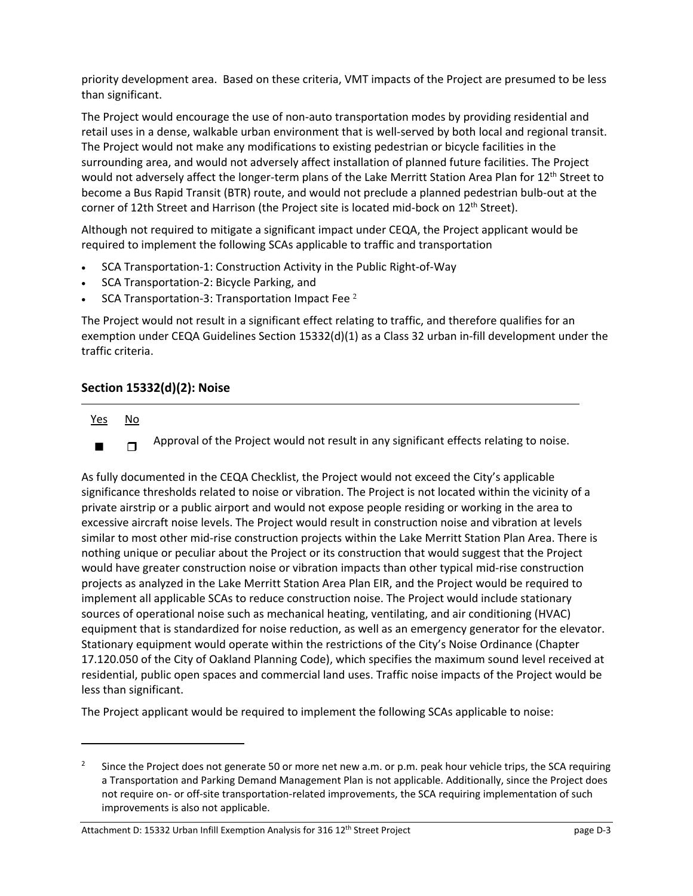priority development area. Based on these criteria, VMT impacts of the Project are presumed to be less than significant.

The Project would encourage the use of non-auto transportation modes by providing residential and retail uses in a dense, walkable urban environment that is well-served by both local and regional transit. The Project would not make any modifications to existing pedestrian or bicycle facilities in the surrounding area, and would not adversely affect installation of planned future facilities. The Project would not adversely affect the longer-term plans of the Lake Merritt Station Area Plan for 12<sup>th</sup> Street to become a Bus Rapid Transit (BTR) route, and would not preclude a planned pedestrian bulb-out at the corner of 12th Street and Harrison (the Project site is located mid-bock on  $12<sup>th</sup>$  Street).

Although not required to mitigate a significant impact under CEQA, the Project applicant would be required to implement the following SCAs applicable to traffic and transportation

- SCA Transportation‐1: Construction Activity in the Public Right‐of‐Way
- SCA Transportation-2: Bicycle Parking, and
- SCA Transportation‐3: Transportation Impact Fee <sup>2</sup>

The Project would not result in a significant effect relating to traffic, and therefore qualifies for an exemption under CEQA Guidelines Section 15332(d)(1) as a Class 32 urban in‐fill development under the traffic criteria.

## **Section 15332(d)(2): Noise**

- Yes No
	- $\Box$  Approval of the Project would not result in any significant effects relating to noise.

As fully documented in the CEQA Checklist, the Project would not exceed the City's applicable significance thresholds related to noise or vibration. The Project is not located within the vicinity of a private airstrip or a public airport and would not expose people residing or working in the area to excessive aircraft noise levels. The Project would result in construction noise and vibration at levels similar to most other mid-rise construction projects within the Lake Merritt Station Plan Area. There is nothing unique or peculiar about the Project or its construction that would suggest that the Project would have greater construction noise or vibration impacts than other typical mid-rise construction projects as analyzed in the Lake Merritt Station Area Plan EIR, and the Project would be required to implement all applicable SCAs to reduce construction noise. The Project would include stationary sources of operational noise such as mechanical heating, ventilating, and air conditioning (HVAC) equipment that is standardized for noise reduction, as well as an emergency generator for the elevator. Stationary equipment would operate within the restrictions of the City's Noise Ordinance (Chapter 17.120.050 of the City of Oakland Planning Code), which specifies the maximum sound level received at residential, public open spaces and commercial land uses. Traffic noise impacts of the Project would be less than significant.

The Project applicant would be required to implement the following SCAs applicable to noise:

<sup>2</sup> Since the Project does not generate 50 or more net new a.m. or p.m. peak hour vehicle trips, the SCA requiring a Transportation and Parking Demand Management Plan is not applicable. Additionally, since the Project does not require on‐ or off‐site transportation‐related improvements, the SCA requiring implementation of such improvements is also not applicable.

Attachment D: 15332 Urban Infill Exemption Analysis for 316 12<sup>th</sup> Street Project page D-3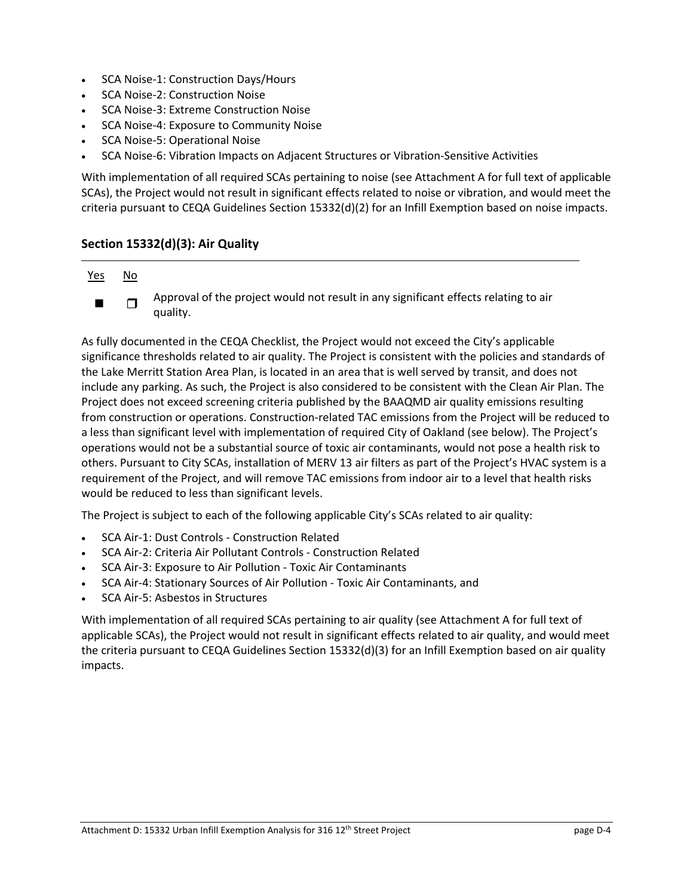- SCA Noise-1: Construction Days/Hours
- SCA Noise‐2: Construction Noise
- SCA Noise‐3: Extreme Construction Noise
- SCA Noise‐4: Exposure to Community Noise
- SCA Noise‐5: Operational Noise
- SCA Noise‐6: Vibration Impacts on Adjacent Structures or Vibration‐Sensitive Activities

With implementation of all required SCAs pertaining to noise (see Attachment A for full text of applicable SCAs), the Project would not result in significant effects related to noise or vibration, and would meet the criteria pursuant to CEQA Guidelines Section 15332(d)(2) for an Infill Exemption based on noise impacts.

## **Section 15332(d)(3): Air Quality**

### Yes No

Approval of the project would not result in any significant effects relating to air  $\Box$   $\Box$   $\Box$   $\Box$   $\Box$   $\Box$ 

As fully documented in the CEQA Checklist, the Project would not exceed the City's applicable significance thresholds related to air quality. The Project is consistent with the policies and standards of the Lake Merritt Station Area Plan, is located in an area that is well served by transit, and does not include any parking. As such, the Project is also considered to be consistent with the Clean Air Plan. The Project does not exceed screening criteria published by the BAAQMD air quality emissions resulting from construction or operations. Construction-related TAC emissions from the Project will be reduced to a less than significant level with implementation of required City of Oakland (see below). The Project's operations would not be a substantial source of toxic air contaminants, would not pose a health risk to others. Pursuant to City SCAs, installation of MERV 13 air filters as part of the Project's HVAC system is a requirement of the Project, and will remove TAC emissions from indoor air to a level that health risks would be reduced to less than significant levels.

The Project is subject to each of the following applicable City's SCAs related to air quality:

- SCA Air‐1: Dust Controls ‐ Construction Related
- SCA Air‐2: Criteria Air Pollutant Controls ‐ Construction Related
- SCA Air‐3: Exposure to Air Pollution ‐ Toxic Air Contaminants
- SCA Air‐4: Stationary Sources of Air Pollution ‐ Toxic Air Contaminants, and
- SCA Air‐5: Asbestos in Structures

With implementation of all required SCAs pertaining to air quality (see Attachment A for full text of applicable SCAs), the Project would not result in significant effects related to air quality, and would meet the criteria pursuant to CEQA Guidelines Section 15332(d)(3) for an Infill Exemption based on air quality impacts.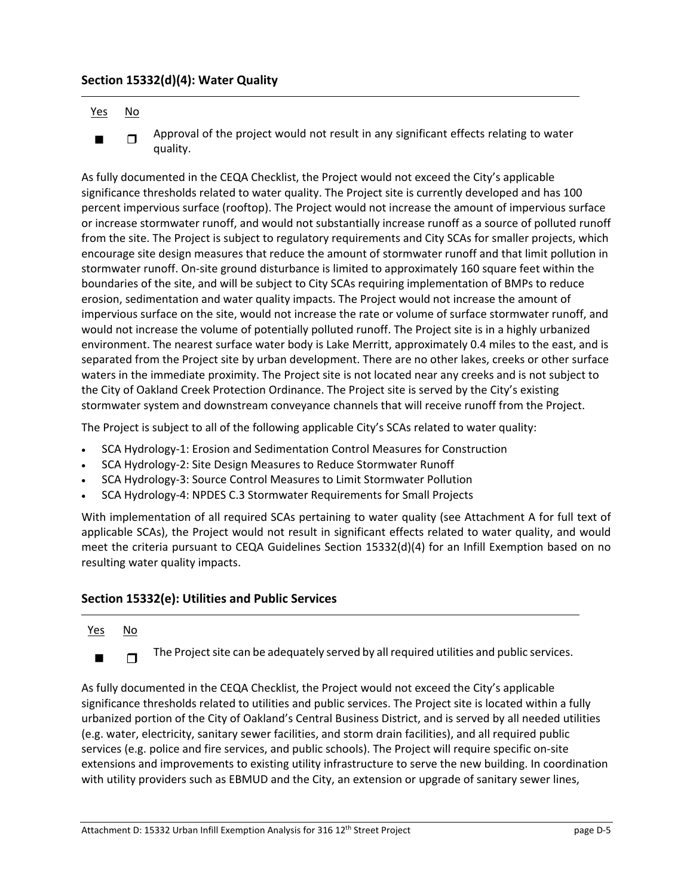## **Section 15332(d)(4): Water Quality**

### Yes No

Approval of the project would not result in any significant effects relating to water  $\Box$   $\Box$   $\Box$   $\Box$   $\Box$   $\Box$   $\Box$   $\Box$ 

As fully documented in the CEQA Checklist, the Project would not exceed the City's applicable significance thresholds related to water quality. The Project site is currently developed and has 100 percent impervious surface (rooftop). The Project would not increase the amount of impervious surface or increase stormwater runoff, and would not substantially increase runoff as a source of polluted runoff from the site. The Project is subject to regulatory requirements and City SCAs for smaller projects, which encourage site design measures that reduce the amount of stormwater runoff and that limit pollution in stormwater runoff. On‐site ground disturbance is limited to approximately 160 square feet within the boundaries of the site, and will be subject to City SCAs requiring implementation of BMPs to reduce erosion, sedimentation and water quality impacts. The Project would not increase the amount of impervious surface on the site, would not increase the rate or volume of surface stormwater runoff, and would not increase the volume of potentially polluted runoff. The Project site is in a highly urbanized environment. The nearest surface water body is Lake Merritt, approximately 0.4 miles to the east, and is separated from the Project site by urban development. There are no other lakes, creeks or other surface waters in the immediate proximity. The Project site is not located near any creeks and is not subject to the City of Oakland Creek Protection Ordinance. The Project site is served by the City's existing stormwater system and downstream conveyance channels that will receive runoff from the Project.

The Project is subject to all of the following applicable City's SCAs related to water quality:

- SCA Hydrology‐1: Erosion and Sedimentation Control Measures for Construction
- SCA Hydrology‐2: Site Design Measures to Reduce Stormwater Runoff
- SCA Hydrology‐3: Source Control Measures to Limit Stormwater Pollution
- SCA Hydrology‐4: NPDES C.3 Stormwater Requirements for Small Projects

With implementation of all required SCAs pertaining to water quality (see Attachment A for full text of applicable SCAs), the Project would not result in significant effects related to water quality, and would meet the criteria pursuant to CEQA Guidelines Section 15332(d)(4) for an Infill Exemption based on no resulting water quality impacts.

## **Section 15332(e): Utilities and Public Services**

### Yes No

 $\blacksquare$  The Project site can be adequately served by all required utilities and public services.

As fully documented in the CEQA Checklist, the Project would not exceed the City's applicable significance thresholds related to utilities and public services. The Project site is located within a fully urbanized portion of the City of Oakland's Central Business District, and is served by all needed utilities (e.g. water, electricity, sanitary sewer facilities, and storm drain facilities), and all required public services (e.g. police and fire services, and public schools). The Project will require specific on‐site extensions and improvements to existing utility infrastructure to serve the new building. In coordination with utility providers such as EBMUD and the City, an extension or upgrade of sanitary sewer lines,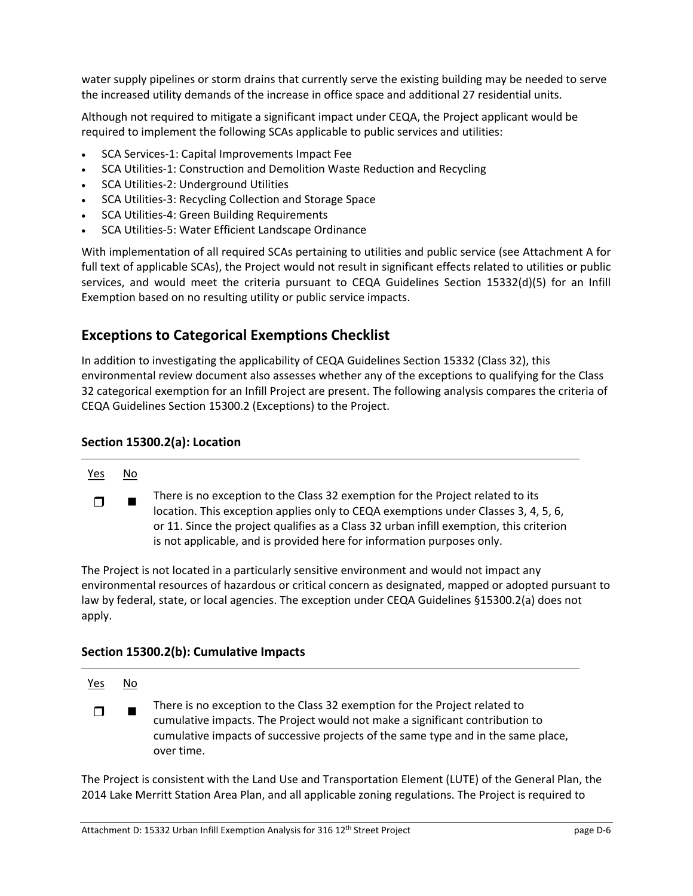water supply pipelines or storm drains that currently serve the existing building may be needed to serve the increased utility demands of the increase in office space and additional 27 residential units.

Although not required to mitigate a significant impact under CEQA, the Project applicant would be required to implement the following SCAs applicable to public services and utilities:

- SCA Services‐1: Capital Improvements Impact Fee
- SCA Utilities‐1: Construction and Demolition Waste Reduction and Recycling
- SCA Utilities‐2: Underground Utilities
- SCA Utilities-3: Recycling Collection and Storage Space
- SCA Utilities‐4: Green Building Requirements
- SCA Utilities‐5: Water Efficient Landscape Ordinance

With implementation of all required SCAs pertaining to utilities and public service (see Attachment A for full text of applicable SCAs), the Project would not result in significant effects related to utilities or public services, and would meet the criteria pursuant to CEQA Guidelines Section 15332(d)(5) for an Infill Exemption based on no resulting utility or public service impacts.

# **Exceptions to Categorical Exemptions Checklist**

In addition to investigating the applicability of CEQA Guidelines Section 15332 (Class 32), this environmental review document also assesses whether any of the exceptions to qualifying for the Class 32 categorical exemption for an Infill Project are present. The following analysis compares the criteria of CEQA Guidelines Section 15300.2 (Exceptions) to the Project.

## **Section 15300.2(a): Location**

### Yes No

There is no exception to the Class 32 exemption for the Project related to its location. This exception applies only to CEQA exemptions under Classes 3, 4, 5, 6, or 11. Since the project qualifies as a Class 32 urban infill exemption, this criterion is not applicable, and is provided here for information purposes only.  $\blacksquare$ 

The Project is not located in a particularly sensitive environment and would not impact any environmental resources of hazardous or critical concern as designated, mapped or adopted pursuant to law by federal, state, or local agencies. The exception under CEQA Guidelines §15300.2(a) does not apply.

## **Section 15300.2(b): Cumulative Impacts**

### Yes No

There is no exception to the Class 32 exemption for the Project related to cumulative impacts. The Project would not make a significant contribution to cumulative impacts of successive projects of the same type and in the same place, over time.  $\Box$ 

The Project is consistent with the Land Use and Transportation Element (LUTE) of the General Plan, the 2014 Lake Merritt Station Area Plan, and all applicable zoning regulations. The Project is required to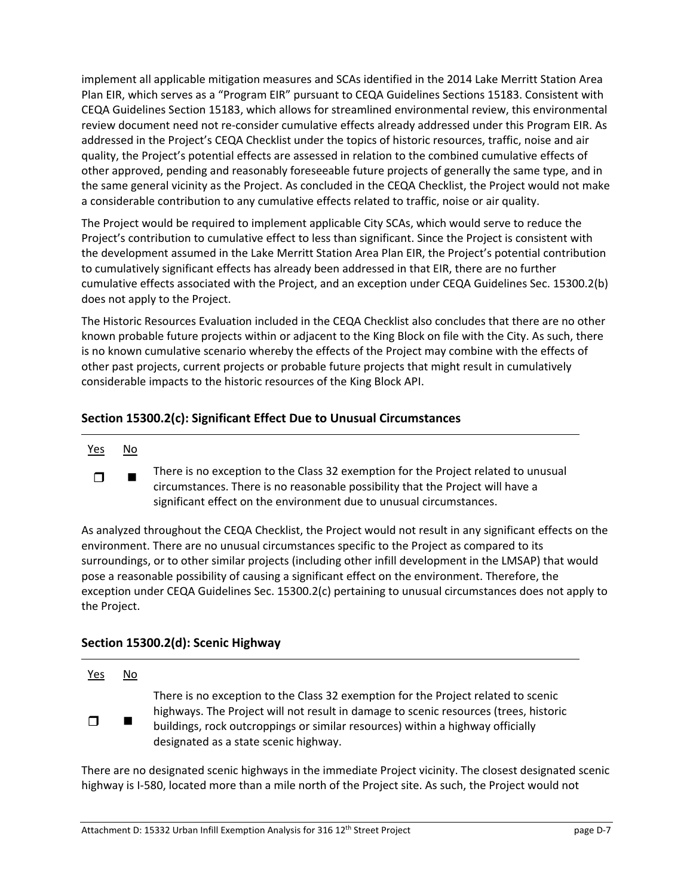implement all applicable mitigation measures and SCAs identified in the 2014 Lake Merritt Station Area Plan EIR, which serves as a "Program EIR" pursuant to CEQA Guidelines Sections 15183. Consistent with CEQA Guidelines Section 15183, which allows for streamlined environmental review, this environmental review document need not re‐consider cumulative effects already addressed under this Program EIR. As addressed in the Project's CEQA Checklist under the topics of historic resources, traffic, noise and air quality, the Project's potential effects are assessed in relation to the combined cumulative effects of other approved, pending and reasonably foreseeable future projects of generally the same type, and in the same general vicinity as the Project. As concluded in the CEQA Checklist, the Project would not make a considerable contribution to any cumulative effects related to traffic, noise or air quality.

The Project would be required to implement applicable City SCAs, which would serve to reduce the Project's contribution to cumulative effect to less than significant. Since the Project is consistent with the development assumed in the Lake Merritt Station Area Plan EIR, the Project's potential contribution to cumulatively significant effects has already been addressed in that EIR, there are no further cumulative effects associated with the Project, and an exception under CEQA Guidelines Sec. 15300.2(b) does not apply to the Project.

The Historic Resources Evaluation included in the CEQA Checklist also concludes that there are no other known probable future projects within or adjacent to the King Block on file with the City. As such, there is no known cumulative scenario whereby the effects of the Project may combine with the effects of other past projects, current projects or probable future projects that might result in cumulatively considerable impacts to the historic resources of the King Block API.

## **Section 15300.2(c): Significant Effect Due to Unusual Circumstances**

There is no exception to the Class 32 exemption for the Project related to unusual circumstances. There is no reasonable possibility that the Project will have a significant effect on the environment due to unusual circumstances.  $\Box$ 

As analyzed throughout the CEQA Checklist, the Project would not result in any significant effects on the environment. There are no unusual circumstances specific to the Project as compared to its surroundings, or to other similar projects (including other infill development in the LMSAP) that would pose a reasonable possibility of causing a significant effect on the environment. Therefore, the exception under CEQA Guidelines Sec. 15300.2(c) pertaining to unusual circumstances does not apply to the Project.

# **Section 15300.2(d): Scenic Highway**

| <u>Yes</u> | No. |                                                                                                                                                                                                                                                                                                      |
|------------|-----|------------------------------------------------------------------------------------------------------------------------------------------------------------------------------------------------------------------------------------------------------------------------------------------------------|
| $\Box$     |     | There is no exception to the Class 32 exemption for the Project related to scenic<br>highways. The Project will not result in damage to scenic resources (trees, historic<br>buildings, rock outcroppings or similar resources) within a highway officially<br>designated as a state scenic highway. |

There are no designated scenic highways in the immediate Project vicinity. The closest designated scenic highway is I‐580, located more than a mile north of the Project site. As such, the Project would not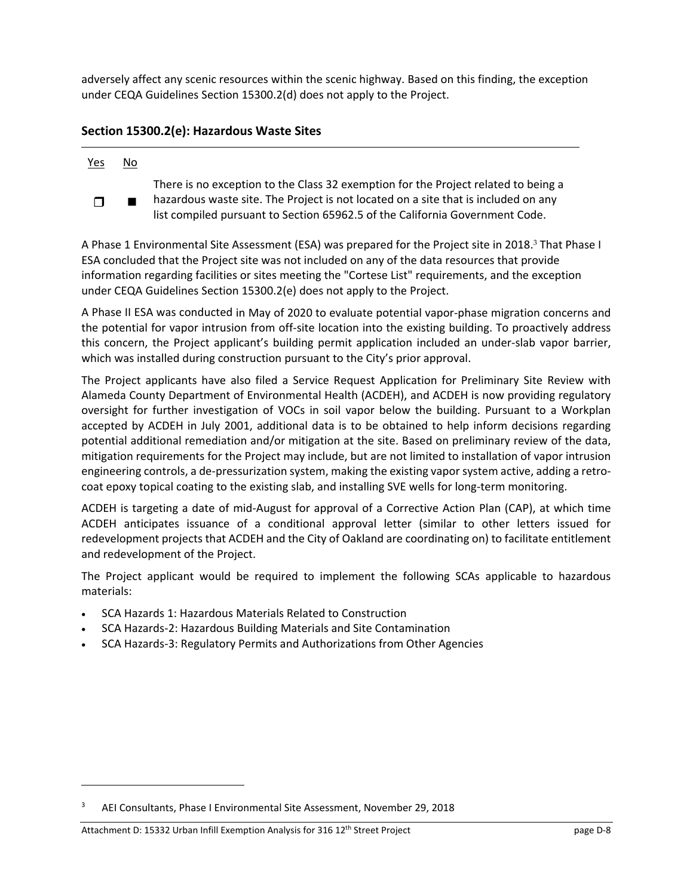adversely affect any scenic resources within the scenic highway. Based on this finding, the exception under CEQA Guidelines Section 15300.2(d) does not apply to the Project.

# **Section 15300.2(e): Hazardous Waste Sites**

### Yes No There is no exception to the Class 32 exemption for the Project related to being a hazardous waste site. The Project is not located on a site that is included on any  $\Box$

list compiled pursuant to Section 65962.5 of the California Government Code.

A Phase 1 Environmental Site Assessment (ESA) was prepared for the Project site in 2018.<sup>3</sup> That Phase I ESA concluded that the Project site was not included on any of the data resources that provide information regarding facilities or sites meeting the "Cortese List" requirements, and the exception under CEQA Guidelines Section 15300.2(e) does not apply to the Project.

A Phase II ESA was conducted in May of 2020 to evaluate potential vapor‐phase migration concerns and the potential for vapor intrusion from off‐site location into the existing building. To proactively address this concern, the Project applicant's building permit application included an under‐slab vapor barrier, which was installed during construction pursuant to the City's prior approval.

The Project applicants have also filed a Service Request Application for Preliminary Site Review with Alameda County Department of Environmental Health (ACDEH), and ACDEH is now providing regulatory oversight for further investigation of VOCs in soil vapor below the building. Pursuant to a Workplan accepted by ACDEH in July 2001, additional data is to be obtained to help inform decisions regarding potential additional remediation and/or mitigation at the site. Based on preliminary review of the data, mitigation requirements for the Project may include, but are not limited to installation of vapor intrusion engineering controls, a de-pressurization system, making the existing vapor system active, adding a retrocoat epoxy topical coating to the existing slab, and installing SVE wells for long-term monitoring.

ACDEH is targeting a date of mid‐August for approval of a Corrective Action Plan (CAP), at which time ACDEH anticipates issuance of a conditional approval letter (similar to other letters issued for redevelopment projects that ACDEH and the City of Oakland are coordinating on) to facilitate entitlement and redevelopment of the Project.

The Project applicant would be required to implement the following SCAs applicable to hazardous materials:

- SCA Hazards 1: Hazardous Materials Related to Construction
- SCA Hazards‐2: Hazardous Building Materials and Site Contamination
- SCA Hazards‐3: Regulatory Permits and Authorizations from Other Agencies

<sup>3</sup> AEI Consultants, Phase I Environmental Site Assessment, November 29, 2018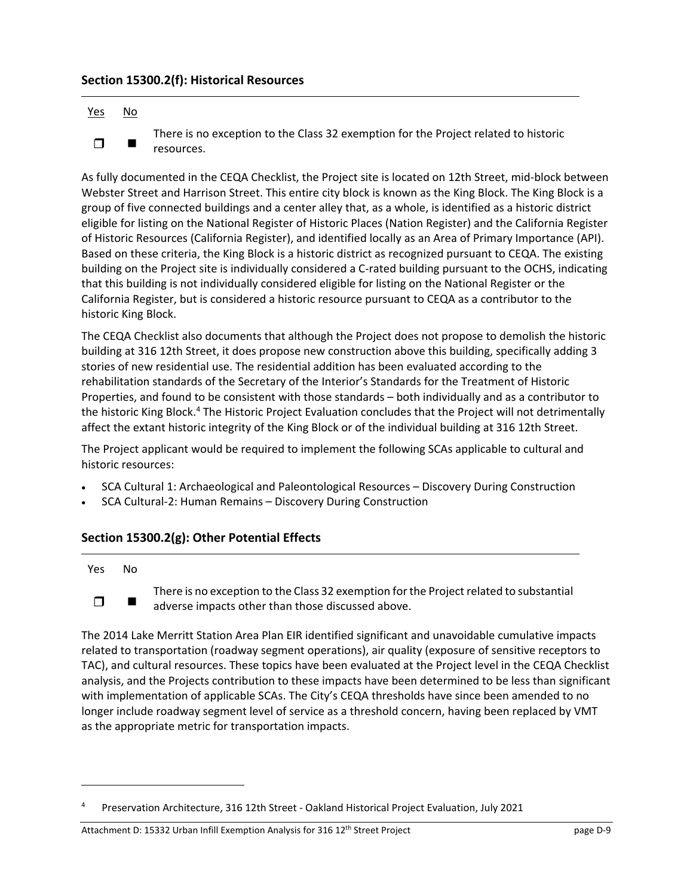## **Section 15300.2(f): Historical Resources**

### Yes No

There is no exception to the Class 32 exemption for the Project related to historic  $\Box$  resources.

As fully documented in the CEQA Checklist, the Project site is located on 12th Street, mid‐block between Webster Street and Harrison Street. This entire city block is known as the King Block. The King Block is a group of five connected buildings and a center alley that, as a whole, is identified as a historic district eligible for listing on the National Register of Historic Places (Nation Register) and the California Register of Historic Resources (California Register), and identified locally as an Area of Primary Importance (API). Based on these criteria, the King Block is a historic district as recognized pursuant to CEQA. The existing building on the Project site is individually considered a C‐rated building pursuant to the OCHS, indicating that this building is not individually considered eligible for listing on the National Register or the California Register, but is considered a historic resource pursuant to CEQA as a contributor to the historic King Block.

The CEQA Checklist also documents that although the Project does not propose to demolish the historic building at 316 12th Street, it does propose new construction above this building, specifically adding 3 stories of new residential use. The residential addition has been evaluated according to the rehabilitation standards of the Secretary of the Interior's Standards for the Treatment of Historic Properties, and found to be consistent with those standards – both individually and as a contributor to the historic King Block.<sup>4</sup> The Historic Project Evaluation concludes that the Project will not detrimentally affect the extant historic integrity of the King Block or of the individual building at 316 12th Street.

The Project applicant would be required to implement the following SCAs applicable to cultural and historic resources:

- SCA Cultural 1: Archaeological and Paleontological Resources Discovery During Construction
- SCA Cultural‐2: Human Remains Discovery During Construction

## **Section 15300.2(g): Other Potential Effects**

### Yes No

There is no exception to the Class 32 exemption for the Project related to substantial  $\Box$   $\Box$  adverse impacts other than those discussed above.

The 2014 Lake Merritt Station Area Plan EIR identified significant and unavoidable cumulative impacts related to transportation (roadway segment operations), air quality (exposure of sensitive receptors to TAC), and cultural resources. These topics have been evaluated at the Project level in the CEQA Checklist analysis, and the Projects contribution to these impacts have been determined to be less than significant with implementation of applicable SCAs. The City's CEQA thresholds have since been amended to no longer include roadway segment level of service as a threshold concern, having been replaced by VMT as the appropriate metric for transportation impacts.

<sup>4</sup> Preservation Architecture, 316 12th Street ‐ Oakland Historical Project Evaluation, July 2021